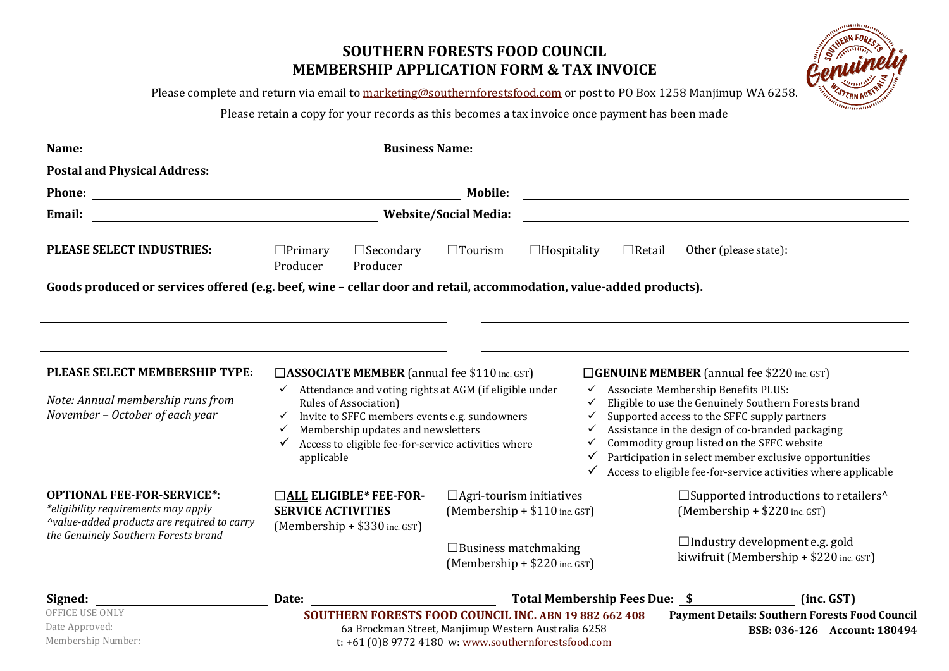# **SOUTHERN FORESTS FOOD COUNCIL MEMBERSHIP APPLICATION FORM & TAX INVOICE**



Please complete and return via email to [marketing@southernforestsfood.com](mailto:marketing@southernforestsfood.com) or post to PO Box 1258 Manjimup WA 6258.

Please retain a copy for your records as this becomes a tax invoice once payment has been made

| Name:                                                                                                                                                           | <b>Business Name:</b><br><u> 1980 - John Stein, Amerikaansk politiker (* 1900)</u>                                                                                                                                                                                                                                                                                                                                                                                                                                                                                                                                                                                                                                                                                                                      |                                                                                                                        |                    |               |                                                                                                                 |  |  |  |
|-----------------------------------------------------------------------------------------------------------------------------------------------------------------|---------------------------------------------------------------------------------------------------------------------------------------------------------------------------------------------------------------------------------------------------------------------------------------------------------------------------------------------------------------------------------------------------------------------------------------------------------------------------------------------------------------------------------------------------------------------------------------------------------------------------------------------------------------------------------------------------------------------------------------------------------------------------------------------------------|------------------------------------------------------------------------------------------------------------------------|--------------------|---------------|-----------------------------------------------------------------------------------------------------------------|--|--|--|
| <b>Postal and Physical Address:</b>                                                                                                                             |                                                                                                                                                                                                                                                                                                                                                                                                                                                                                                                                                                                                                                                                                                                                                                                                         |                                                                                                                        |                    |               |                                                                                                                 |  |  |  |
| <b>Phone:</b>                                                                                                                                                   |                                                                                                                                                                                                                                                                                                                                                                                                                                                                                                                                                                                                                                                                                                                                                                                                         | <u> 1988 - Johann Stoff, deutscher Stoffen und der Stoffen und der Stoffen und der Stoffen und der Stoffen und der</u> |                    |               |                                                                                                                 |  |  |  |
| Email:                                                                                                                                                          | <b>Website/Social Media:</b>                                                                                                                                                                                                                                                                                                                                                                                                                                                                                                                                                                                                                                                                                                                                                                            |                                                                                                                        |                    |               |                                                                                                                 |  |  |  |
| PLEASE SELECT INDUSTRIES:                                                                                                                                       | $\Box$ Primary<br>$\Box$ Secondary<br>Producer<br>Producer                                                                                                                                                                                                                                                                                                                                                                                                                                                                                                                                                                                                                                                                                                                                              | $\Box$ Tourism                                                                                                         | $\Box$ Hospitality | $\Box$ Retail | Other (please state):                                                                                           |  |  |  |
| Goods produced or services offered (e.g. beef, wine - cellar door and retail, accommodation, value-added products).                                             |                                                                                                                                                                                                                                                                                                                                                                                                                                                                                                                                                                                                                                                                                                                                                                                                         |                                                                                                                        |                    |               |                                                                                                                 |  |  |  |
|                                                                                                                                                                 |                                                                                                                                                                                                                                                                                                                                                                                                                                                                                                                                                                                                                                                                                                                                                                                                         |                                                                                                                        |                    |               |                                                                                                                 |  |  |  |
| PLEASE SELECT MEMBERSHIP TYPE:<br>Note: Annual membership runs from<br>November - October of each year                                                          | $\Box$ ASSOCIATE MEMBER (annual fee \$110 inc. GST)<br>$\Box$ <b>GENUINE MEMBER</b> (annual fee \$220 inc. GST)<br>$\checkmark$ Attendance and voting rights at AGM (if eligible under<br>√ Associate Membership Benefits PLUS:<br>Eligible to use the Genuinely Southern Forests brand<br><b>Rules of Association</b> )<br>Invite to SFFC members events e.g. sundowners<br>Supported access to the SFFC supply partners<br>$\checkmark$<br>Membership updates and newsletters<br>Assistance in the design of co-branded packaging<br>$\checkmark$<br>Commodity group listed on the SFFC website<br>Access to eligible fee-for-service activities where<br>✓<br>Participation in select member exclusive opportunities<br>applicable<br>Access to eligible fee-for-service activities where applicable |                                                                                                                        |                    |               |                                                                                                                 |  |  |  |
| <b>OPTIONAL FEE-FOR-SERVICE*:</b><br>*eligibility requirements may apply<br>^value-added products are required to carry<br>the Genuinely Southern Forests brand | $\Box$ ALL ELIGIBLE* FEE-FOR-<br><b>SERVICE ACTIVITIES</b><br>$(Membership + $330$ inc. GST)                                                                                                                                                                                                                                                                                                                                                                                                                                                                                                                                                                                                                                                                                                            | $\Box$ Agri-tourism initiatives<br>$(Membership + $110 inc. GST)$                                                      |                    |               | $\square$ Supported introductions to retailers <sup><math>\wedge</math></sup><br>$(Membership + $220$ inc. GST) |  |  |  |
|                                                                                                                                                                 |                                                                                                                                                                                                                                                                                                                                                                                                                                                                                                                                                                                                                                                                                                                                                                                                         | $\Box$ Business matchmaking<br>$(Membership + $220$ inc. GST)                                                          |                    |               | $\Box$ Industry development e.g. gold<br>kiwifruit (Membership $+ $220$ inc. GST)                               |  |  |  |
| Signed:                                                                                                                                                         | Date:                                                                                                                                                                                                                                                                                                                                                                                                                                                                                                                                                                                                                                                                                                                                                                                                   | Total Membership Fees Due: \$                                                                                          |                    |               | (inc. GST)                                                                                                      |  |  |  |
| <b>OFFICE USE ONLY</b><br>Date Approved:                                                                                                                        | SOUTHERN FORESTS FOOD COUNCIL INC. ABN 19 882 662 408<br>6a Brockman Street, Manjimup Western Australia 6258                                                                                                                                                                                                                                                                                                                                                                                                                                                                                                                                                                                                                                                                                            |                                                                                                                        |                    |               | <b>Payment Details: Southern Forests Food Council</b><br>BSB: 036-126 Account: 180494                           |  |  |  |

t: +61 (0)8 9772 4180 w: www.southernforestsfood.com

Membership Number: